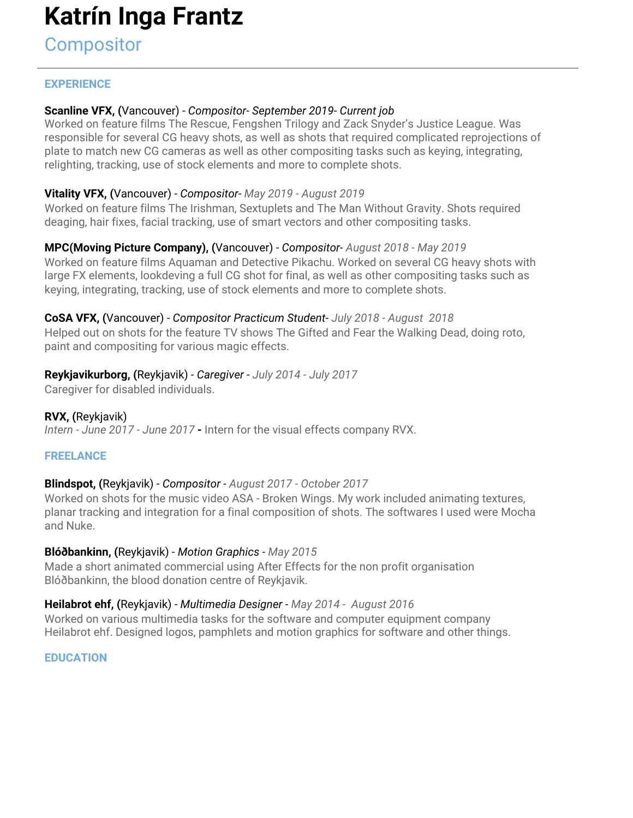# **Katrín Inga Frantz**

**Compositor** 

## **EXPERIENCE**

## **Scanline VFX, (**Vancouver) - *Compositor- September 2019- Current job*

Worked on feature films The Rescue, Fengshen Trilogy and Zack Snyder's Justice League. Was responsible for several CG heavy shots, as well as shots that required complicated reprojections of plate to match new CG cameras as well as other compositing tasks such as keying, integrating, relighting, tracking, use of stock elements and more to complete shots.

## **Vitality VFX, (**Vancouver) - *Compositor- May 2019 - August 2019*

Worked on feature films The Irishman, Sextuplets and The Man Without Gravity. Shots required deaging, hair fixes, facial tracking, use of smart vectors and other compositing tasks.

## **MPC(Moving Picture Company), (**Vancouver) - *Compositor- August 2018 - May 2019*

Worked on feature films Aquaman and Detective Pikachu. Worked on several CG heavy shots with large FX elements, lookdeving a full CG shot for final, as well as other compositing tasks such as keying, integrating, tracking, use of stock elements and more to complete shots.

# **CoSA VFX, (**Vancouver) - *Compositor Practicum Student- July 2018 - August 2018*

Helped out on shots for the feature TV shows The Gifted and Fear the Walking Dead, doing roto, paint and compositing for various magic effects.

## **Reykjavikurborg, (**Reykjavik) - *Caregiver - July 2014 - July 2017*

Caregiver for disabled individuals.

### **RVX, (**Reykjavik)

*Intern - June 2017 - June 2017 -* Intern for the visual effects company RVX.

### **FREELANCE**

### **Blindspot, (**Reykjavik) - *Compositor - August 2017 - October 2017*

Worked on shots for the music video ASA - Broken Wings. My work included animating textures, planar tracking and integration for a final composition of shots. The softwares I used were Mocha and Nuke.

### **Blóðbankinn, (**Reykjavik) - *Motion Graphics - May 2015*

Made a short animated commercial using After Effects for the non profit organisation Blóðbankinn, the blood donation centre of Reykjavik.

### **Heilabrot ehf, (**Reykjavik) - *Multimedia Designer - May 2014 - August 2016*

Worked on various multimedia tasks for the software and computer equipment company Heilabrot ehf. Designed logos, pamphlets and motion graphics for software and other things.

### **EDUCATION**